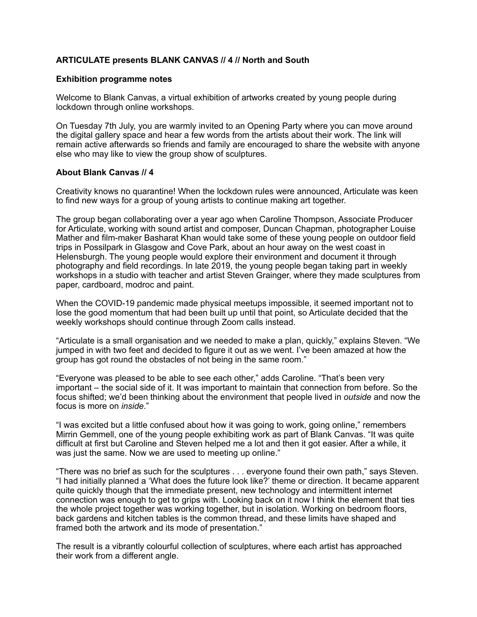# **ARTICULATE presents BLANK CANVAS // 4 // North and South**

### **Exhibition programme notes**

Welcome to Blank Canvas, a virtual exhibition of artworks created by young people during lockdown through online workshops.

On Tuesday 7th July, you are warmly invited to an Opening Party where you can move around the digital gallery space and hear a few words from the artists about their work. The link will remain active afterwards so friends and family are encouraged to share the website with anyone else who may like to view the group show of sculptures.

## **About Blank Canvas // 4**

Creativity knows no quarantine! When the lockdown rules were announced, Articulate was keen to find new ways for a group of young artists to continue making art together.

The group began collaborating over a year ago when Caroline Thompson, Associate Producer for Articulate, working with sound artist and composer, Duncan Chapman, photographer Louise Mather and film-maker Basharat Khan would take some of these young people on outdoor field trips in Possilpark in Glasgow and Cove Park, about an hour away on the west coast in Helensburgh. The young people would explore their environment and document it through photography and field recordings. In late 2019, the young people began taking part in weekly workshops in a studio with teacher and artist Steven Grainger, where they made sculptures from paper, cardboard, modroc and paint.

When the COVID-19 pandemic made physical meetups impossible, it seemed important not to lose the good momentum that had been built up until that point, so Articulate decided that the weekly workshops should continue through Zoom calls instead.

"Articulate is a small organisation and we needed to make a plan, quickly," explains Steven. "We jumped in with two feet and decided to figure it out as we went. I've been amazed at how the group has got round the obstacles of not being in the same room."

"Everyone was pleased to be able to see each other," adds Caroline. "That's been very important – the social side of it. It was important to maintain that connection from before. So the focus shifted; we'd been thinking about the environment that people lived in *outside* and now the focus is more on *inside*."

"I was excited but a little confused about how it was going to work, going online," remembers Mirrin Gemmell, one of the young people exhibiting work as part of Blank Canvas. "It was quite difficult at first but Caroline and Steven helped me a lot and then it got easier. After a while, it was just the same. Now we are used to meeting up online."

"There was no brief as such for the sculptures . . . everyone found their own path," says Steven. "I had initially planned a 'What does the future look like?' theme or direction. It became apparent quite quickly though that the immediate present, new technology and intermittent internet connection was enough to get to grips with. Looking back on it now I think the element that ties the whole project together was working together, but in isolation. Working on bedroom floors, back gardens and kitchen tables is the common thread, and these limits have shaped and framed both the artwork and its mode of presentation."

The result is a vibrantly colourful collection of sculptures, where each artist has approached their work from a different angle.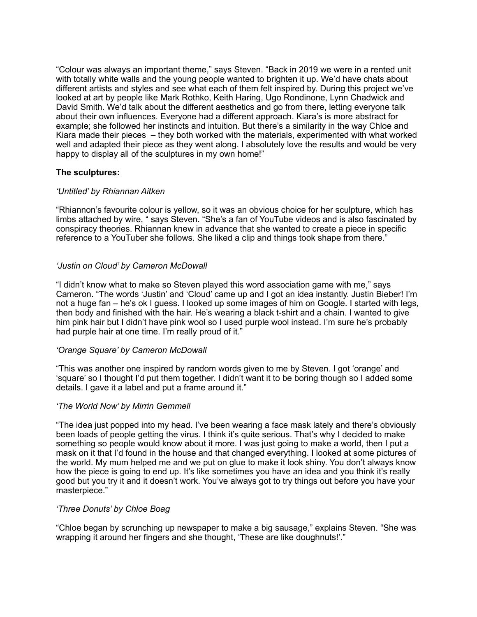"Colour was always an important theme," says Steven. "Back in 2019 we were in a rented unit with totally white walls and the young people wanted to brighten it up. We'd have chats about different artists and styles and see what each of them felt inspired by. During this project we've looked at art by people like Mark Rothko, Keith Haring, Ugo Rondinone, Lynn Chadwick and David Smith. We'd talk about the different aesthetics and go from there, letting everyone talk about their own influences. Everyone had a different approach. Kiara's is more abstract for example; she followed her instincts and intuition. But there's a similarity in the way Chloe and Kiara made their pieces – they both worked with the materials, experimented with what worked well and adapted their piece as they went along. I absolutely love the results and would be very happy to display all of the sculptures in my own home!"

## **The sculptures:**

#### *'Untitled' by Rhiannan Aitken*

"Rhiannon's favourite colour is yellow, so it was an obvious choice for her sculpture, which has limbs attached by wire, " says Steven. "She's a fan of YouTube videos and is also fascinated by conspiracy theories. Rhiannan knew in advance that she wanted to create a piece in specific reference to a YouTuber she follows. She liked a clip and things took shape from there."

## *'Justin on Cloud' by Cameron McDowall*

"I didn't know what to make so Steven played this word association game with me," says Cameron. "The words 'Justin' and 'Cloud' came up and I got an idea instantly. Justin Bieber! I'm not a huge fan – he's ok I guess. I looked up some images of him on Google. I started with legs, then body and finished with the hair. He's wearing a black t-shirt and a chain. I wanted to give him pink hair but I didn't have pink wool so I used purple wool instead. I'm sure he's probably had purple hair at one time. I'm really proud of it."

#### *'Orange Square' by Cameron McDowall*

"This was another one inspired by random words given to me by Steven. I got 'orange' and 'square' so I thought I'd put them together. I didn't want it to be boring though so I added some details. I gave it a label and put a frame around it."

#### *'The World Now' by Mirrin Gemmell*

"The idea just popped into my head. I've been wearing a face mask lately and there's obviously been loads of people getting the virus. I think it's quite serious. That's why I decided to make something so people would know about it more. I was just going to make a world, then I put a mask on it that I'd found in the house and that changed everything. I looked at some pictures of the world. My mum helped me and we put on glue to make it look shiny. You don't always know how the piece is going to end up. It's like sometimes you have an idea and you think it's really good but you try it and it doesn't work. You've always got to try things out before you have your masterpiece."

#### *'Three Donuts' by Chloe Boag*

"Chloe began by scrunching up newspaper to make a big sausage," explains Steven. "She was wrapping it around her fingers and she thought, 'These are like doughnuts!'."